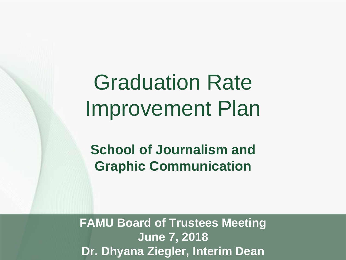# Graduation Rate Improvement Plan

**School of Journalism and Graphic Communication**

**FAMU Board of Trustees Meeting June 7, 2018 Dr. Dhyana Ziegler, Interim Dean**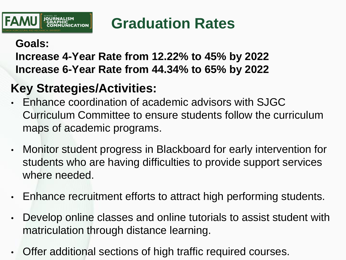

# **Graduation Rates**

#### **Goals:**

### **Increase 4-Year Rate from 12.22% to 45% by 2022 Increase 6-Year Rate from 44.34% to 65% by 2022**

# **Key Strategies/Activities:**

- Enhance coordination of academic advisors with SJGC Curriculum Committee to ensure students follow the curriculum maps of academic programs.
- Monitor student progress in Blackboard for early intervention for students who are having difficulties to provide support services where needed.
- Enhance recruitment efforts to attract high performing students.
- Develop online classes and online tutorials to assist student with matriculation through distance learning.
- Offer additional sections of high traffic required courses.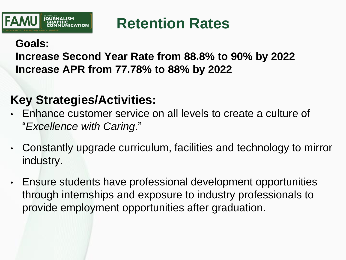

# **Retention Rates**

#### **Goals:**

### **Increase Second Year Rate from 88.8% to 90% by 2022 Increase APR from 77.78% to 88% by 2022**

### **Key Strategies/Activities:**

- Enhance customer service on all levels to create a culture of "*Excellence with Caring*."
- Constantly upgrade curriculum, facilities and technology to mirror industry.
- Ensure students have professional development opportunities through internships and exposure to industry professionals to provide employment opportunities after graduation.